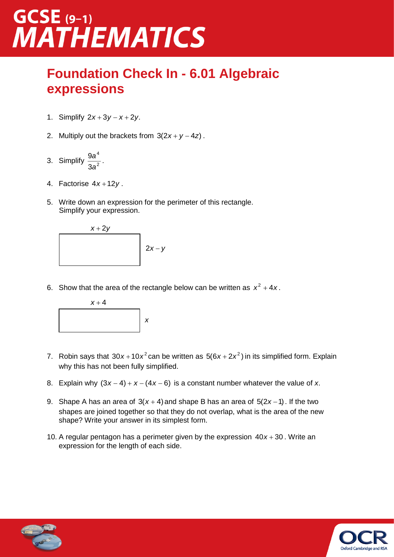### $GCSE$  (9-1) **MATHEMATICS**

### **Foundation Check In - 6.01 Algebraic expressions**

- 1. Simplify  $2x + 3y x + 2y$ .
- 2. Multiply out the brackets from  $3(2x + y 4z)$ .
- 3. Simplify  $\frac{3a}{2a^2}$ 4 3 9 *a* a<br> $\frac{a}{2}$ .
- 4. Factorise <sup>4</sup>*<sup>x</sup>* 12*y* .
- 5. Write down an expression for the perimeter of this rectangle. Simplify your expression.



6. Show that the area of the rectangle below can be written as  $x^2 + 4x$ .



- 7. Robin says that  $30x + 10x^2$  can be written as  $5(6x + 2x^2)$  in its simplified form. Explain why this has not been fully simplified.
- 8. Explain why  $(3x-4) + x (4x-6)$  is a constant number whatever the value of x.
- 9. Shape A has an area of  $3(x+4)$  and shape B has an area of  $5(2x-1)$ . If the two shapes are joined together so that they do not overlap, what is the area of the new shape? Write your answer in its simplest form.
- 10. A regular pentagon has a perimeter given by the expression  $40x + 30$ . Write an expression for the length of each side.



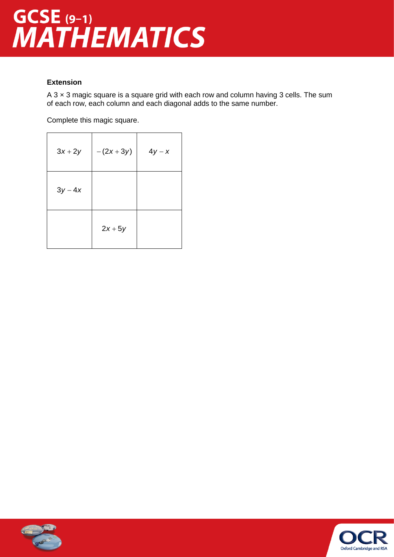# GCSE (9-1)<br>MATHEMATICS

### **Extension**

A  $3 \times 3$  magic square is a square grid with each row and column having  $3$  cells. The sum of each row, each column and each diagonal adds to the same number.

Complete this magic square.

| $3x+2y$ | $-(2x+3y)$ | $4y - x$ |
|---------|------------|----------|
| $3y-4x$ |            |          |
|         | $2x+5y$    |          |



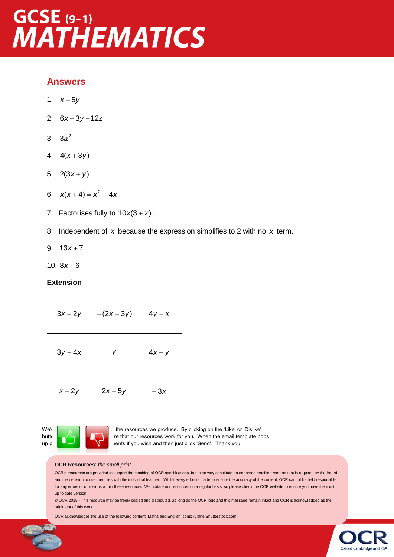## GCSE (9-1)<br>MATHEMATICS

### **Answers**

- 1.  $x+5y$
- 2. 6*<sup>x</sup>* 3*y* 12*<sup>z</sup>*
- 3. 2 3*a*
- 4.  $4(x+3y)$
- 5.  $2(3x+y)$
- 6.  $x(x+4) = x^2 + 4x$
- 7. Factorises fully to  $10x(3 + x)$ .
- 8. Independent of *x* because the expression simplifies to 2 with no *x* term.
- 9.  $13x + 7$
- 10.  $8x + 6$

#### **Extension**

| $3x+2y$  | $-(2x+3y)$ | $4y - x$ |
|----------|------------|----------|
| $3y-4x$  | У          | $4x - y$ |
| $x - 2y$ | $2x+5y$    | $-3x$    |



We'd **like to know you want to know you we** produce. By clicking on the 'Like' or 'Dislike' button  $\Box$   $\Box$  ire that our resources work for you. When the email template pops up please and a senate additional comments if you wish and then just click 'Send'. Thank you.

#### **OCR Resources**: *the small print*

OCR's resources are provided to support the teaching of OCR specifications, but in no way constitute an endorsed teaching method that is required by the Board, and the decision to use them lies with the individual teacher. Whilst every effort is made to ensure the accuracy of the content, OCR cannot be held responsible for any errors or omissions within these resources. We update our resources on a regular basis, so please check the OCR website to ensure you have the most up to date version.

© OCR 2015 - This resource may be freely copied and distributed, as long as the OCR logo and this message remain intact and OCR is acknowledged as the originator of this work.

OCR acknowledges the use of the following content: Maths and English icons: Air0ne/Shutterstock.com